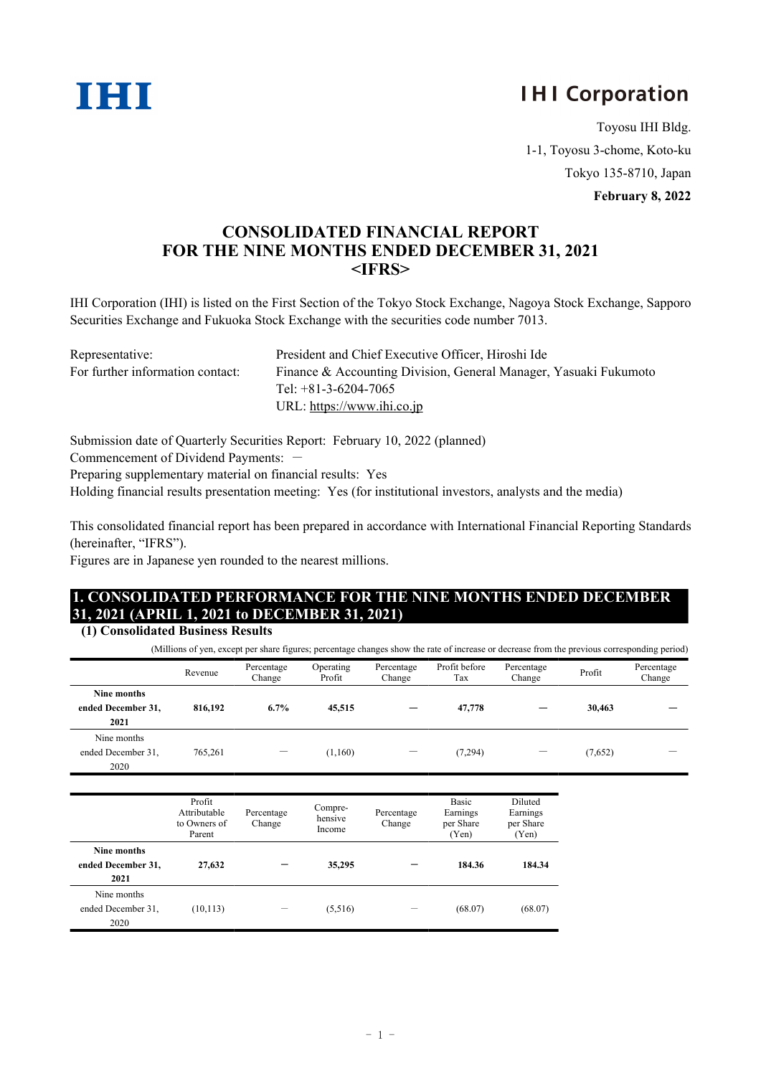

# **IHI Corporation**

Toyosu IHI Bldg. 1-1, Toyosu 3-chome, Koto-ku Tokyo 135-8710, Japan

**February 8, 2022**

## **CONSOLIDATED FINANCIAL REPORT FOR THE NINE MONTHS ENDED DECEMBER 31, 2021 <IFRS>**

IHI Corporation (IHI) is listed on the First Section of the Tokyo Stock Exchange, Nagoya Stock Exchange, Sapporo Securities Exchange and Fukuoka Stock Exchange with the securities code number 7013.

| Representative:                  | President and Chief Executive Officer, Hiroshi Ide               |
|----------------------------------|------------------------------------------------------------------|
| For further information contact: | Finance & Accounting Division, General Manager, Yasuaki Fukumoto |
|                                  | Tel: $+81-3-6204-7065$                                           |
|                                  | URL: https://www.ihi.co.jp                                       |

Submission date of Quarterly Securities Report: February 10, 2022 (planned)

Commencement of Dividend Payments: -

Preparing supplementary material on financial results: Yes

Holding financial results presentation meeting: Yes (for institutional investors, analysts and the media)

This consolidated financial report has been prepared in accordance with International Financial Reporting Standards (hereinafter, "IFRS").

Figures are in Japanese yen rounded to the nearest millions.

# **1. CONSOLIDATED PERFORMANCE FOR THE NINE MONTHS ENDED DECEMBER 31, 2021 (APRIL 1, 2021 to DECEMBER 31, 2021)**

#### **(1) Consolidated Business Results**

(Millions of yen, except per share figures; percentage changes show the rate of increase or decrease from the previous corresponding period)

|                                           | Revenue | Percentage<br>Change | Operating<br>Profit | Percentage<br>Change     | Profit before<br>Tax | Percentage<br>Change | Profit  | Percentage<br>Change |
|-------------------------------------------|---------|----------------------|---------------------|--------------------------|----------------------|----------------------|---------|----------------------|
| Nine months<br>ended December 31,<br>2021 | 816.192 | 6.7%                 | 45,515              | $\overline{\phantom{0}}$ | 47,778               |                      | 30,463  |                      |
| Nine months<br>ended December 31,<br>2020 | 765,261 |                      | (1,160)             | —                        | (7, 294)             |                      | (7,652) |                      |

|                                           | Profit<br>Attributable<br>to Owners of<br>Parent | Percentage<br>Change | Compre-<br>hensive<br>Income | Percentage<br>Change | Basic<br>Earnings<br>per Share<br>(Yen) | Diluted<br>Earnings<br>per Share<br>(Yen) |
|-------------------------------------------|--------------------------------------------------|----------------------|------------------------------|----------------------|-----------------------------------------|-------------------------------------------|
| Nine months<br>ended December 31,<br>2021 | 27,632                                           |                      | 35,295                       |                      | 184.36                                  | 184.34                                    |
| Nine months<br>ended December 31,<br>2020 | (10, 113)                                        |                      | (5,516)                      |                      | (68.07)                                 | (68.07)                                   |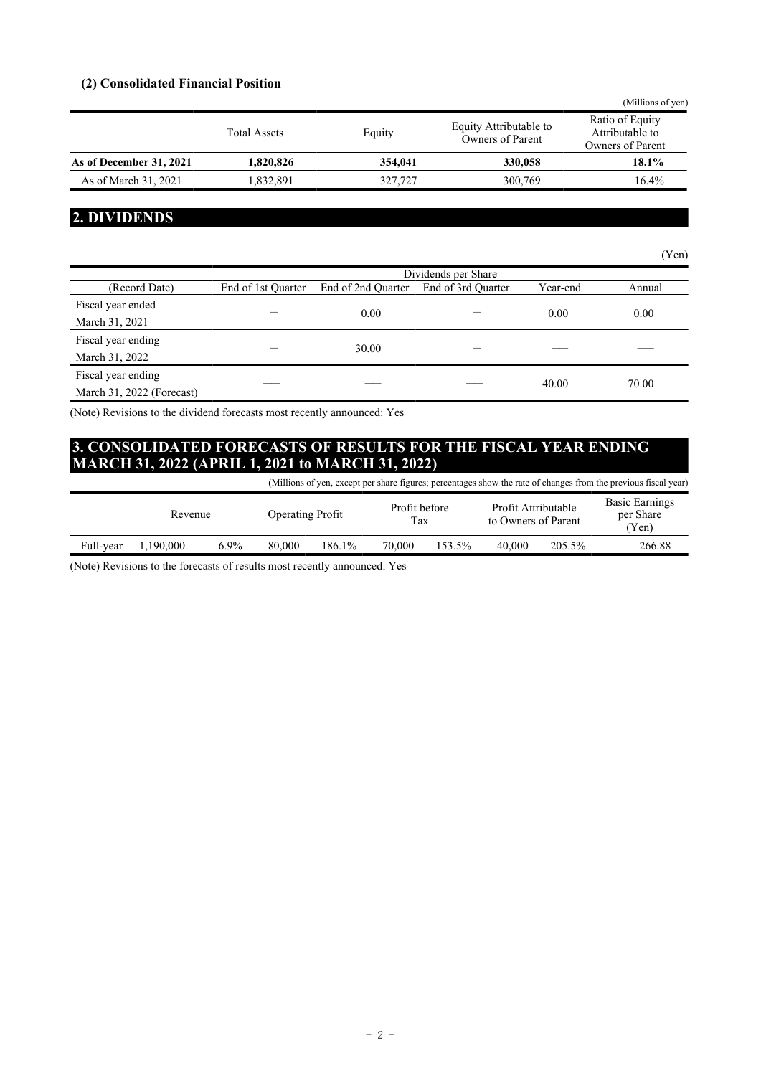#### **(2) Consolidated Financial Position**

|                         |                     |         |                                            | (Millions of yen)                                      |
|-------------------------|---------------------|---------|--------------------------------------------|--------------------------------------------------------|
|                         | <b>Total Assets</b> | Equity  | Equity Attributable to<br>Owners of Parent | Ratio of Equity<br>Attributable to<br>Owners of Parent |
| As of December 31, 2021 | 1.820.826           | 354,041 | 330,058                                    | 18.1%                                                  |
| As of March 31, 2021    | 1.832.891           | 327,727 | 300,769                                    | 16.4%                                                  |

### **2. DIVIDENDS**

|                           |                     |                    |                    |          | (Yen)  |  |  |
|---------------------------|---------------------|--------------------|--------------------|----------|--------|--|--|
|                           | Dividends per Share |                    |                    |          |        |  |  |
| (Record Date)             | End of 1st Quarter  | End of 2nd Quarter | End of 3rd Quarter | Year-end | Annual |  |  |
| Fiscal year ended         |                     | 0.00               |                    | 0.00     | 0.00   |  |  |
| March 31, 2021            |                     |                    |                    |          |        |  |  |
| Fiscal year ending        |                     |                    |                    |          |        |  |  |
| March 31, 2022            |                     | 30.00              |                    |          |        |  |  |
| Fiscal year ending        |                     |                    |                    | 40.00    | 70.00  |  |  |
| March 31, 2022 (Forecast) |                     |                    |                    |          |        |  |  |

(Note) Revisions to the dividend forecasts most recently announced: Yes

# **3. CONSOLIDATED FORECASTS OF RESULTS FOR THE FISCAL YEAR ENDING MARCH 31, 2022 (APRIL 1, 2021 to MARCH 31, 2022)**

|           |           |         |                         |        |                      |        |                                            |        | (Millions of yen, except per share figures; percentages show the rate of changes from the previous fiscal year) |
|-----------|-----------|---------|-------------------------|--------|----------------------|--------|--------------------------------------------|--------|-----------------------------------------------------------------------------------------------------------------|
|           | Revenue   |         | <b>Operating Profit</b> |        | Profit before<br>Tax |        | Profit Attributable<br>to Owners of Parent |        | <b>Basic Earnings</b><br>per Share<br>(Yen)                                                                     |
| Full-year | 1.190.000 | $6.9\%$ | 80,000                  | 186.1% | 70,000               | 153.5% | 40,000                                     | 205.5% | 266.88                                                                                                          |

(Note) Revisions to the forecasts of results most recently announced: Yes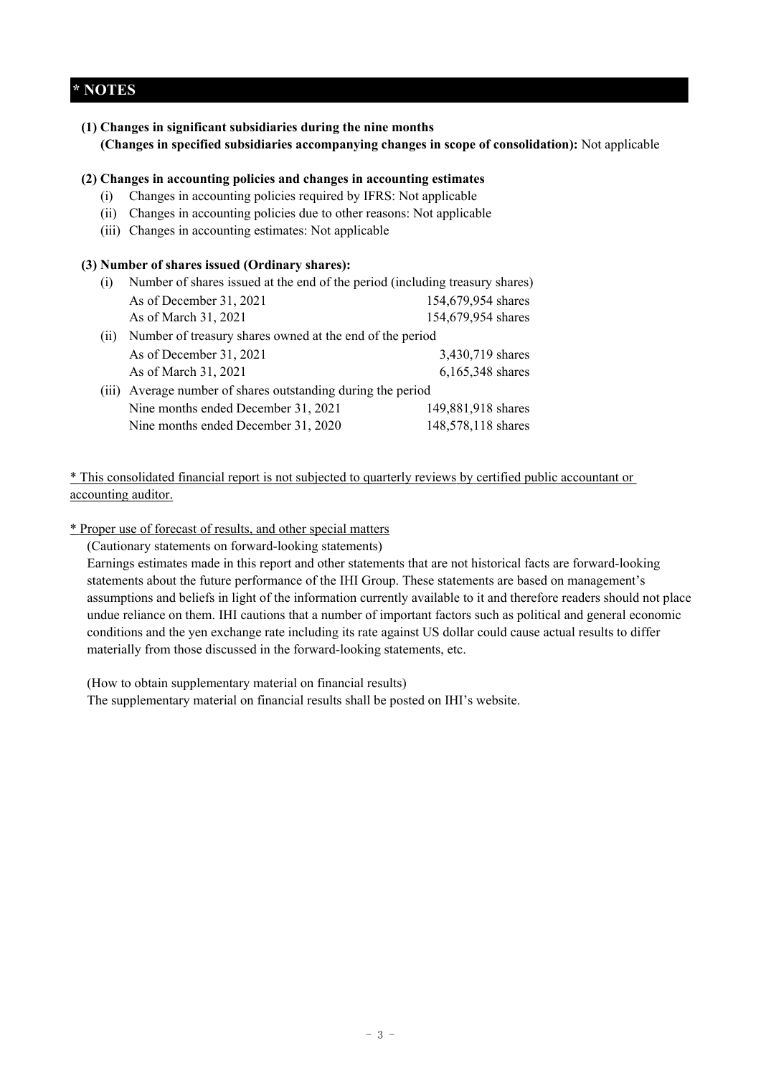### **\* NOTES**

**(1) Changes in significant subsidiaries during the nine months (Changes in specified subsidiaries accompanying changes in scope of consolidation):** Not applicable

#### **(2) Changes in accounting policies and changes in accounting estimates**

- (i) Changes in accounting policies required by IFRS: Not applicable
- (ii) Changes in accounting policies due to other reasons: Not applicable
- (iii) Changes in accounting estimates: Not applicable

#### **(3) Number of shares issued (Ordinary shares):**

| (1)   | Number of shares issued at the end of the period (including treasury shares) |                    |  |  |  |  |
|-------|------------------------------------------------------------------------------|--------------------|--|--|--|--|
|       | As of December 31, 2021                                                      | 154,679,954 shares |  |  |  |  |
|       | As of March 31, 2021                                                         | 154,679,954 shares |  |  |  |  |
| (11)  | Number of treasury shares owned at the end of the period                     |                    |  |  |  |  |
|       | As of December 31, 2021                                                      | 3,430,719 shares   |  |  |  |  |
|       | As of March 31, 2021                                                         | 6,165,348 shares   |  |  |  |  |
| (111) | Average number of shares outstanding during the period                       |                    |  |  |  |  |
|       | Nine months ended December 31, 2021                                          | 149,881,918 shares |  |  |  |  |
|       | Nine months ended December 31, 2020                                          | 148,578,118 shares |  |  |  |  |

\* This consolidated financial report is not subjected to quarterly reviews by certified public accountant or accounting auditor.

### \* Proper use of forecast of results, and other special matters

(Cautionary statements on forward-looking statements)

Earnings estimates made in this report and other statements that are not historical facts are forward-looking statements about the future performance of the IHI Group. These statements are based on management's assumptions and beliefs in light of the information currently available to it and therefore readers should not place undue reliance on them. IHI cautions that a number of important factors such as political and general economic conditions and the yen exchange rate including its rate against US dollar could cause actual results to differ materially from those discussed in the forward-looking statements, etc.

(How to obtain supplementary material on financial results)

The supplementary material on financial results shall be posted on IHI's website.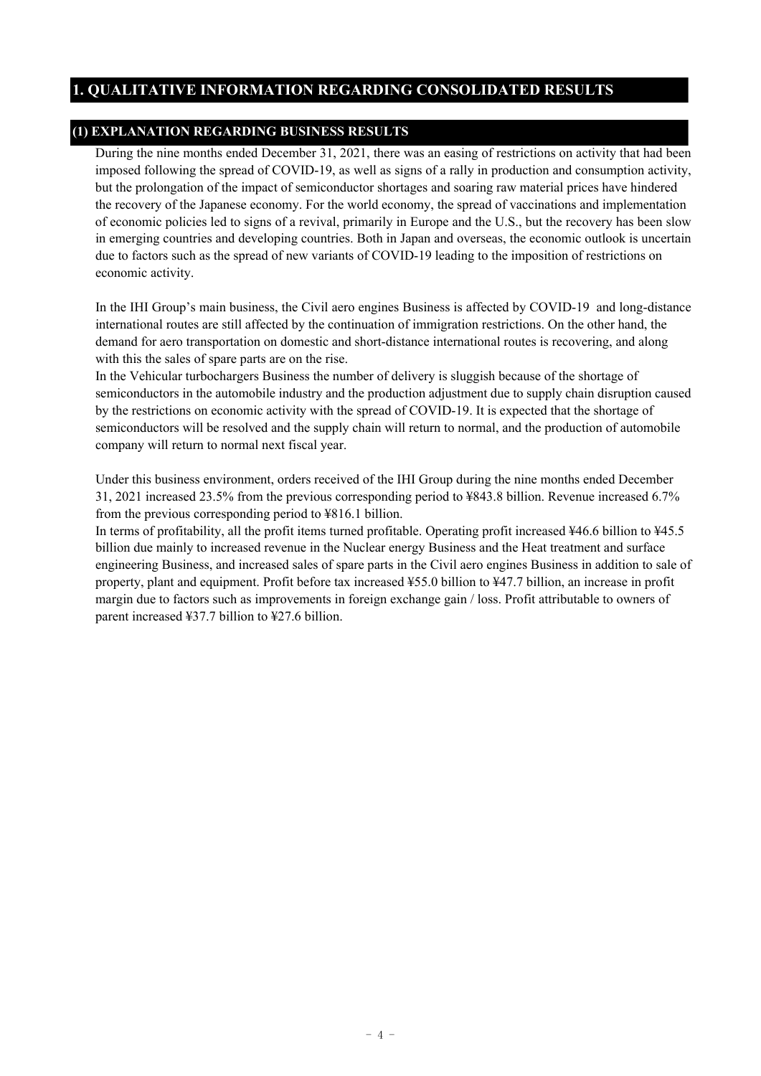### **1. QUALITATIVE INFORMATION REGARDING CONSOLIDATED RESULTS**

### **(1) EXPLANATION REGARDING BUSINESS RESULTS**

During the nine months ended December 31, 2021, there was an easing of restrictions on activity that had been imposed following the spread of COVID-19, as well as signs of a rally in production and consumption activity, but the prolongation of the impact of semiconductor shortages and soaring raw material prices have hindered the recovery of the Japanese economy. For the world economy, the spread of vaccinations and implementation of economic policies led to signs of a revival, primarily in Europe and the U.S., but the recovery has been slow in emerging countries and developing countries. Both in Japan and overseas, the economic outlook is uncertain due to factors such as the spread of new variants of COVID-19 leading to the imposition of restrictions on economic activity.

In the IHI Group's main business, the Civil aero engines Business is affected by COVID-19 and long-distance international routes are still affected by the continuation of immigration restrictions. On the other hand, the demand for aero transportation on domestic and short-distance international routes is recovering, and along with this the sales of spare parts are on the rise.

In the Vehicular turbochargers Business the number of delivery is sluggish because of the shortage of semiconductors in the automobile industry and the production adjustment due to supply chain disruption caused by the restrictions on economic activity with the spread of COVID-19. It is expected that the shortage of semiconductors will be resolved and the supply chain will return to normal, and the production of automobile company will return to normal next fiscal year.

Under this business environment, orders received of the IHI Group during the nine months ended December 31, 2021 increased 23.5% from the previous corresponding period to ¥843.8 billion. Revenue increased 6.7% from the previous corresponding period to ¥816.1 billion.

In terms of profitability, all the profit items turned profitable. Operating profit increased ¥46.6 billion to ¥45.5 billion due mainly to increased revenue in the Nuclear energy Business and the Heat treatment and surface engineering Business, and increased sales of spare parts in the Civil aero engines Business in addition to sale of property, plant and equipment. Profit before tax increased ¥55.0 billion to ¥47.7 billion, an increase in profit margin due to factors such as improvements in foreign exchange gain / loss. Profit attributable to owners of parent increased ¥37.7 billion to ¥27.6 billion.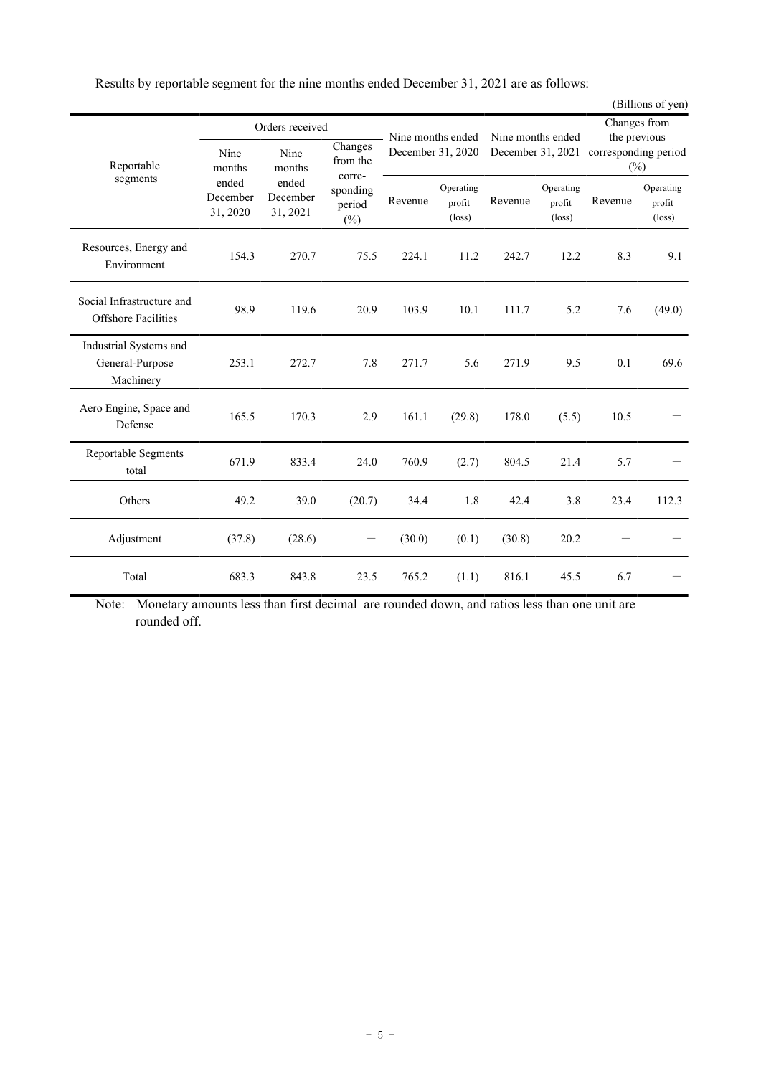|  |  | Results by reportable segment for the nine months ended December 31, 2021 are as follows: |
|--|--|-------------------------------------------------------------------------------------------|
|  |  |                                                                                           |

|                                                         |                               |                               |                               |         |                                        |         |                                        |         | (Billions of yen)                      |
|---------------------------------------------------------|-------------------------------|-------------------------------|-------------------------------|---------|----------------------------------------|---------|----------------------------------------|---------|----------------------------------------|
|                                                         |                               | Orders received               |                               |         | Nine months ended                      |         | Nine months ended                      |         | Changes from<br>the previous           |
| Reportable                                              | Nine<br>months                | Nine<br>months                | Changes<br>from the<br>corre- |         | December 31, 2020                      |         | December 31, 2021                      |         | corresponding period<br>$(\%)$         |
| segments                                                | ended<br>December<br>31, 2020 | ended<br>December<br>31, 2021 | sponding<br>period<br>$(\%)$  | Revenue | Operating<br>profit<br>$(\text{loss})$ | Revenue | Operating<br>profit<br>$(\text{loss})$ | Revenue | Operating<br>profit<br>$(\text{loss})$ |
| Resources, Energy and<br>Environment                    | 154.3                         | 270.7                         | 75.5                          | 224.1   | 11.2                                   | 242.7   | 12.2                                   | 8.3     | 9.1                                    |
| Social Infrastructure and<br><b>Offshore Facilities</b> | 98.9                          | 119.6                         | 20.9                          | 103.9   | 10.1                                   | 111.7   | 5.2                                    | 7.6     | (49.0)                                 |
| Industrial Systems and<br>General-Purpose<br>Machinery  | 253.1                         | 272.7                         | 7.8                           | 271.7   | 5.6                                    | 271.9   | 9.5                                    | 0.1     | 69.6                                   |
| Aero Engine, Space and<br>Defense                       | 165.5                         | 170.3                         | 2.9                           | 161.1   | (29.8)                                 | 178.0   | (5.5)                                  | 10.5    |                                        |
| Reportable Segments<br>total                            | 671.9                         | 833.4                         | 24.0                          | 760.9   | (2.7)                                  | 804.5   | 21.4                                   | 5.7     |                                        |
| Others                                                  | 49.2                          | 39.0                          | (20.7)                        | 34.4    | 1.8                                    | 42.4    | 3.8                                    | 23.4    | 112.3                                  |
| Adjustment                                              | (37.8)                        | (28.6)                        | $\overline{\phantom{0}}$      | (30.0)  | (0.1)                                  | (30.8)  | 20.2                                   |         |                                        |
| Total                                                   | 683.3                         | 843.8                         | 23.5                          | 765.2   | (1.1)                                  | 816.1   | 45.5                                   | 6.7     |                                        |

Note: Monetary amounts less than first decimal are rounded down, and ratios less than one unit are rounded off.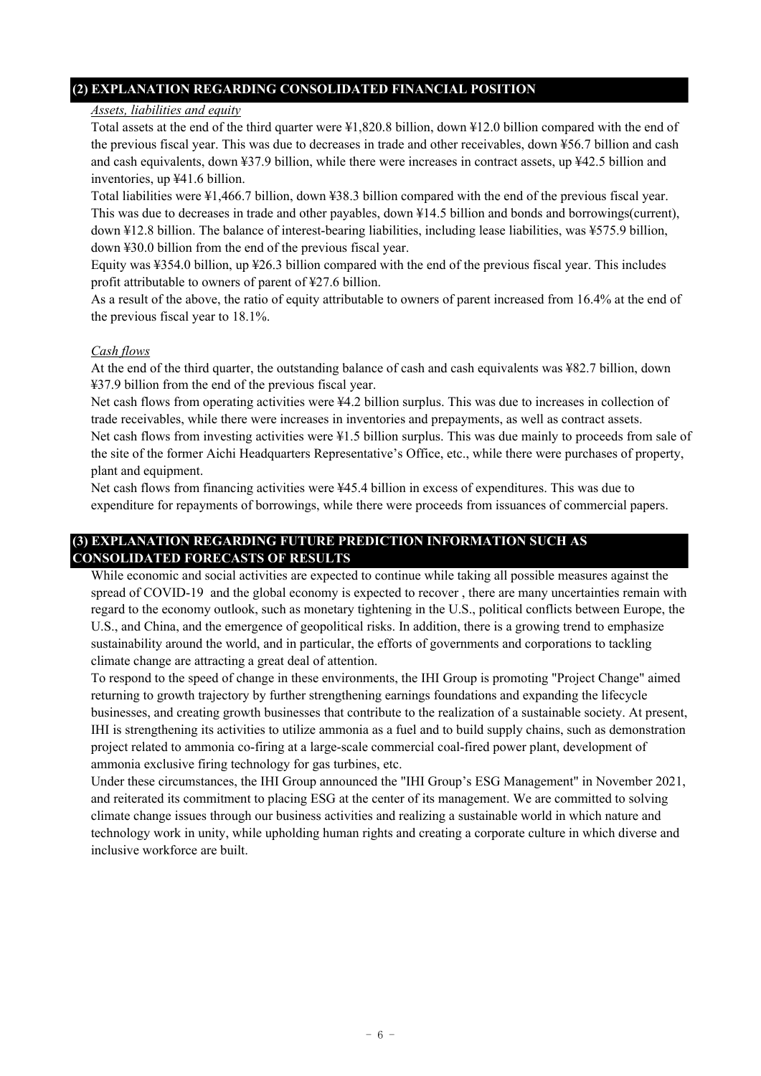### **(2) EXPLANATION REGARDING CONSOLIDATED FINANCIAL POSITION**

#### *Assets, liabilities and equity*

Total assets at the end of the third quarter were ¥1,820.8 billion, down ¥12.0 billion compared with the end of the previous fiscal year. This was due to decreases in trade and other receivables, down ¥56.7 billion and cash and cash equivalents, down ¥37.9 billion, while there were increases in contract assets, up ¥42.5 billion and inventories, up ¥41.6 billion.

Total liabilities were ¥1,466.7 billion, down ¥38.3 billion compared with the end of the previous fiscal year. This was due to decreases in trade and other payables, down ¥14.5 billion and bonds and borrowings(current), down ¥12.8 billion. The balance of interest-bearing liabilities, including lease liabilities, was ¥575.9 billion, down ¥30.0 billion from the end of the previous fiscal year.

Equity was ¥354.0 billion, up ¥26.3 billion compared with the end of the previous fiscal year. This includes profit attributable to owners of parent of ¥27.6 billion.

As a result of the above, the ratio of equity attributable to owners of parent increased from 16.4% at the end of the previous fiscal year to 18.1%.

#### *Cash flows*

At the end of the third quarter, the outstanding balance of cash and cash equivalents was ¥82.7 billion, down ¥37.9 billion from the end of the previous fiscal year.

Net cash flows from operating activities were ¥4.2 billion surplus. This was due to increases in collection of trade receivables, while there were increases in inventories and prepayments, as well as contract assets. Net cash flows from investing activities were ¥1.5 billion surplus. This was due mainly to proceeds from sale of the site of the former Aichi Headquarters Representative's Office, etc., while there were purchases of property,

plant and equipment. Net cash flows from financing activities were ¥45.4 billion in excess of expenditures. This was due to expenditure for repayments of borrowings, while there were proceeds from issuances of commercial papers.

### **(3) EXPLANATION REGARDING FUTURE PREDICTION INFORMATION SUCH AS CONSOLIDATED FORECASTS OF RESULTS**

While economic and social activities are expected to continue while taking all possible measures against the spread of COVID-19 and the global economy is expected to recover, there are many uncertainties remain with regard to the economy outlook, such as monetary tightening in the U.S., political conflicts between Europe, the U.S., and China, and the emergence of geopolitical risks. In addition, there is a growing trend to emphasize sustainability around the world, and in particular, the efforts of governments and corporations to tackling climate change are attracting a great deal of attention.

To respond to the speed of change in these environments, the IHI Group is promoting "Project Change" aimed returning to growth trajectory by further strengthening earnings foundations and expanding the lifecycle businesses, and creating growth businesses that contribute to the realization of a sustainable society. At present, IHI is strengthening its activities to utilize ammonia as a fuel and to build supply chains, such as demonstration project related to ammonia co-firing at a large-scale commercial coal-fired power plant, development of ammonia exclusive firing technology for gas turbines, etc.

Under these circumstances, the IHI Group announced the "IHI Group's ESG Management" in November 2021, and reiterated its commitment to placing ESG at the center of its management. We are committed to solving climate change issues through our business activities and realizing a sustainable world in which nature and technology work in unity, while upholding human rights and creating a corporate culture in which diverse and inclusive workforce are built.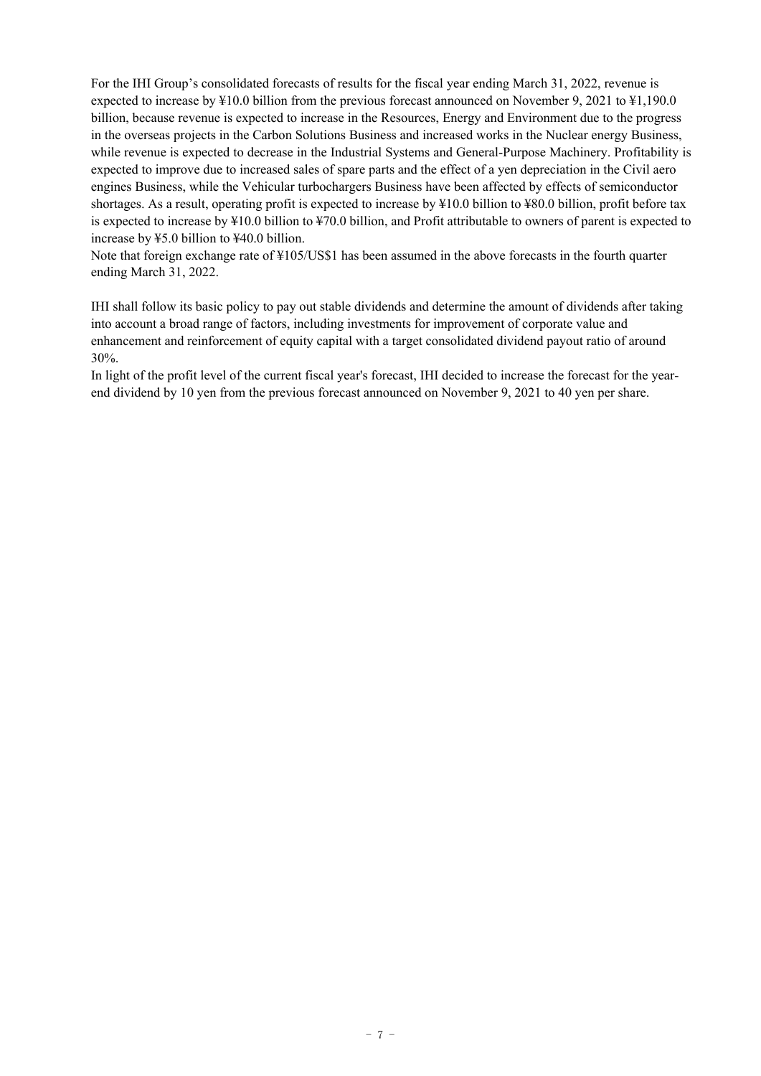For the IHI Group's consolidated forecasts of results for the fiscal year ending March 31, 2022, revenue is expected to increase by ¥10.0 billion from the previous forecast announced on November 9, 2021 to ¥1,190.0 billion, because revenue is expected to increase in the Resources, Energy and Environment due to the progress in the overseas projects in the Carbon Solutions Business and increased works in the Nuclear energy Business, while revenue is expected to decrease in the Industrial Systems and General-Purpose Machinery. Profitability is expected to improve due to increased sales of spare parts and the effect of a yen depreciation in the Civil aero engines Business, while the Vehicular turbochargers Business have been affected by effects of semiconductor shortages. As a result, operating profit is expected to increase by ¥10.0 billion to ¥80.0 billion, profit before tax is expected to increase by ¥10.0 billion to ¥70.0 billion, and Profit attributable to owners of parent is expected to increase by ¥5.0 billion to ¥40.0 billion.

Note that foreign exchange rate of ¥105/US\$1 has been assumed in the above forecasts in the fourth quarter ending March 31, 2022.

IHI shall follow its basic policy to pay out stable dividends and determine the amount of dividends after taking into account a broad range of factors, including investments for improvement of corporate value and enhancement and reinforcement of equity capital with a target consolidated dividend payout ratio of around 30%.

In light of the profit level of the current fiscal year's forecast, IHI decided to increase the forecast for the yearend dividend by 10 yen from the previous forecast announced on November 9, 2021 to 40 yen per share.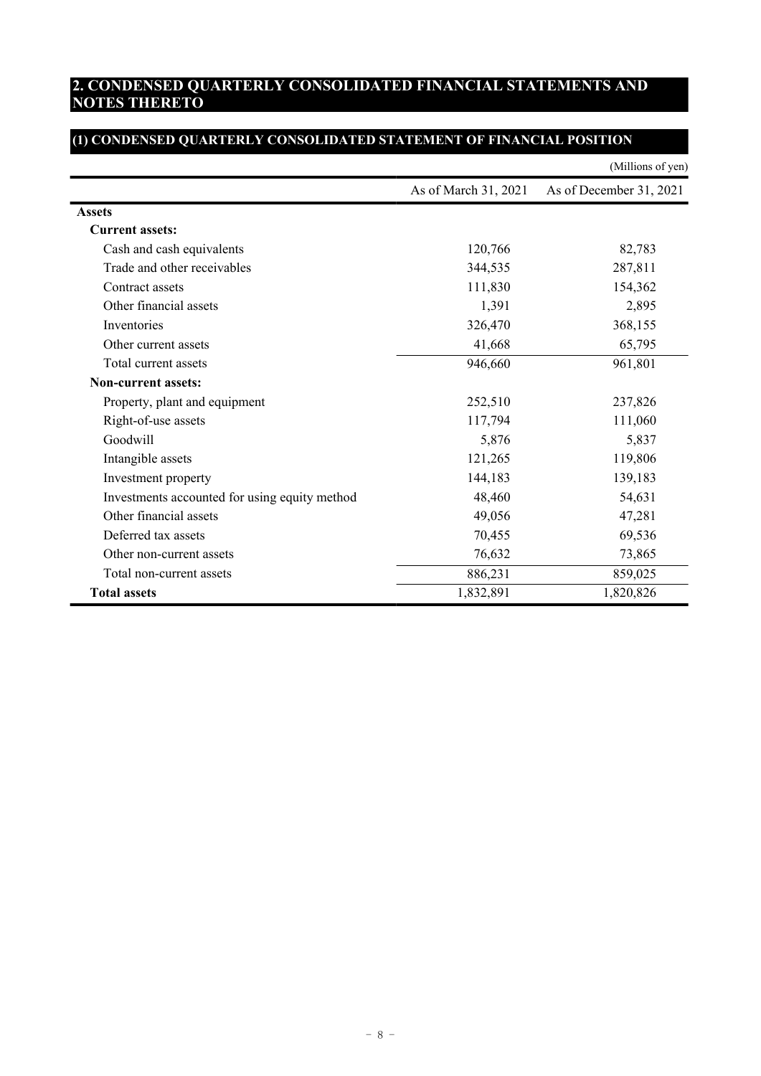# **2. CONDENSED QUARTERLY CONSOLIDATED FINANCIAL STATEMENTS AND NOTES THERETO**

|                                               |                      | (Millions of yen)       |
|-----------------------------------------------|----------------------|-------------------------|
|                                               | As of March 31, 2021 | As of December 31, 2021 |
| <b>Assets</b>                                 |                      |                         |
| <b>Current assets:</b>                        |                      |                         |
| Cash and cash equivalents                     | 120,766              | 82,783                  |
| Trade and other receivables                   | 344,535              | 287,811                 |
| Contract assets                               | 111,830              | 154,362                 |
| Other financial assets                        | 1,391                | 2,895                   |
| Inventories                                   | 326,470              | 368,155                 |
| Other current assets                          | 41,668               | 65,795                  |
| Total current assets                          | 946,660              | 961,801                 |
| <b>Non-current assets:</b>                    |                      |                         |
| Property, plant and equipment                 | 252,510              | 237,826                 |
| Right-of-use assets                           | 117,794              | 111,060                 |
| Goodwill                                      | 5,876                | 5,837                   |
| Intangible assets                             | 121,265              | 119,806                 |
| Investment property                           | 144,183              | 139,183                 |
| Investments accounted for using equity method | 48,460               | 54,631                  |
| Other financial assets                        | 49,056               | 47,281                  |
| Deferred tax assets                           | 70,455               | 69,536                  |
| Other non-current assets                      | 76,632               | 73,865                  |
| Total non-current assets                      | 886,231              | 859,025                 |
| <b>Total assets</b>                           | 1,832,891            | 1,820,826               |

# **(1) CONDENSED QUARTERLY CONSOLIDATED STATEMENT OF FINANCIAL POSITION**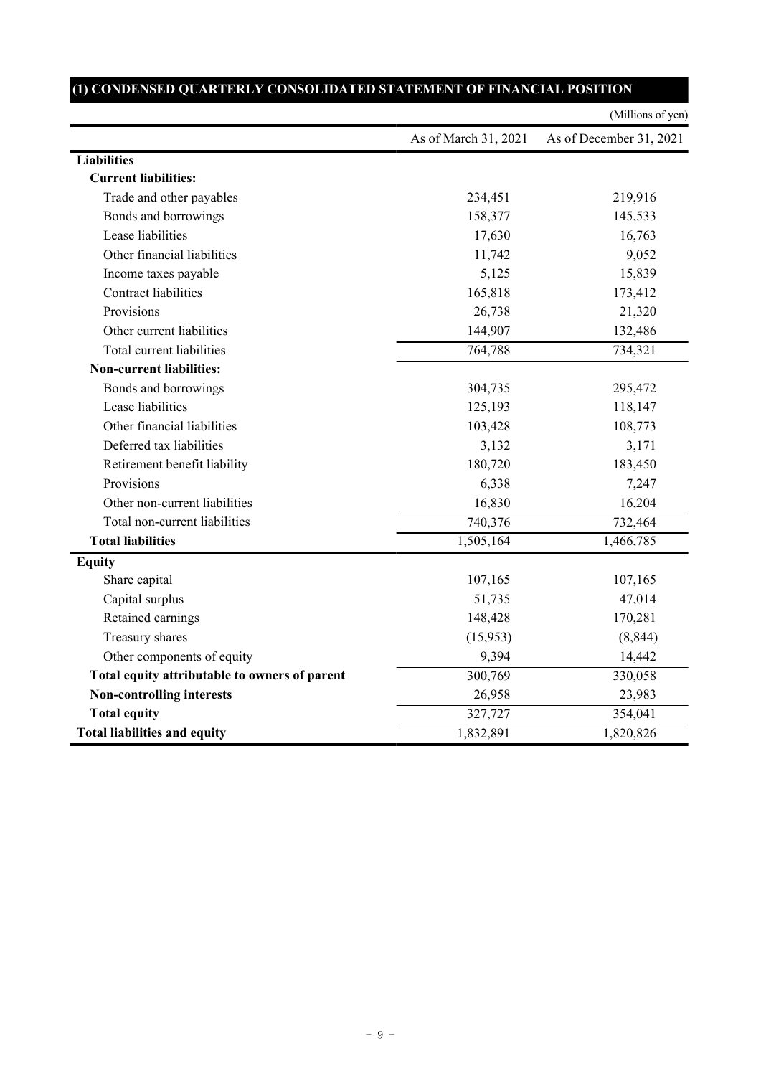|                                               |                      | (Millions of yen)       |
|-----------------------------------------------|----------------------|-------------------------|
|                                               | As of March 31, 2021 | As of December 31, 2021 |
| <b>Liabilities</b>                            |                      |                         |
| <b>Current liabilities:</b>                   |                      |                         |
| Trade and other payables                      | 234,451              | 219,916                 |
| Bonds and borrowings                          | 158,377              | 145,533                 |
| Lease liabilities                             | 17,630               | 16,763                  |
| Other financial liabilities                   | 11,742               | 9,052                   |
| Income taxes payable                          | 5,125                | 15,839                  |
| <b>Contract liabilities</b>                   | 165,818              | 173,412                 |
| Provisions                                    | 26,738               | 21,320                  |
| Other current liabilities                     | 144,907              | 132,486                 |
| Total current liabilities                     | 764,788              | 734,321                 |
| <b>Non-current liabilities:</b>               |                      |                         |
| Bonds and borrowings                          | 304,735              | 295,472                 |
| Lease liabilities                             | 125,193              | 118,147                 |
| Other financial liabilities                   | 103,428              | 108,773                 |
| Deferred tax liabilities                      | 3,132                | 3,171                   |
| Retirement benefit liability                  | 180,720              | 183,450                 |
| Provisions                                    | 6,338                | 7,247                   |
| Other non-current liabilities                 | 16,830               | 16,204                  |
| Total non-current liabilities                 | 740,376              | 732,464                 |
| <b>Total liabilities</b>                      | 1,505,164            | 1,466,785               |
| <b>Equity</b>                                 |                      |                         |
| Share capital                                 | 107,165              | 107,165                 |
| Capital surplus                               | 51,735               | 47,014                  |
| Retained earnings                             | 148,428              | 170,281                 |
| Treasury shares                               | (15,953)             | (8, 844)                |
| Other components of equity                    | 9,394                | 14,442                  |
| Total equity attributable to owners of parent | 300,769              | 330,058                 |
| <b>Non-controlling interests</b>              | 26,958               | 23,983                  |
| <b>Total equity</b>                           | 327,727              | 354,041                 |
| <b>Total liabilities and equity</b>           | 1,832,891            | 1,820,826               |

# **(1) CONDENSED QUARTERLY CONSOLIDATED STATEMENT OF FINANCIAL POSITION**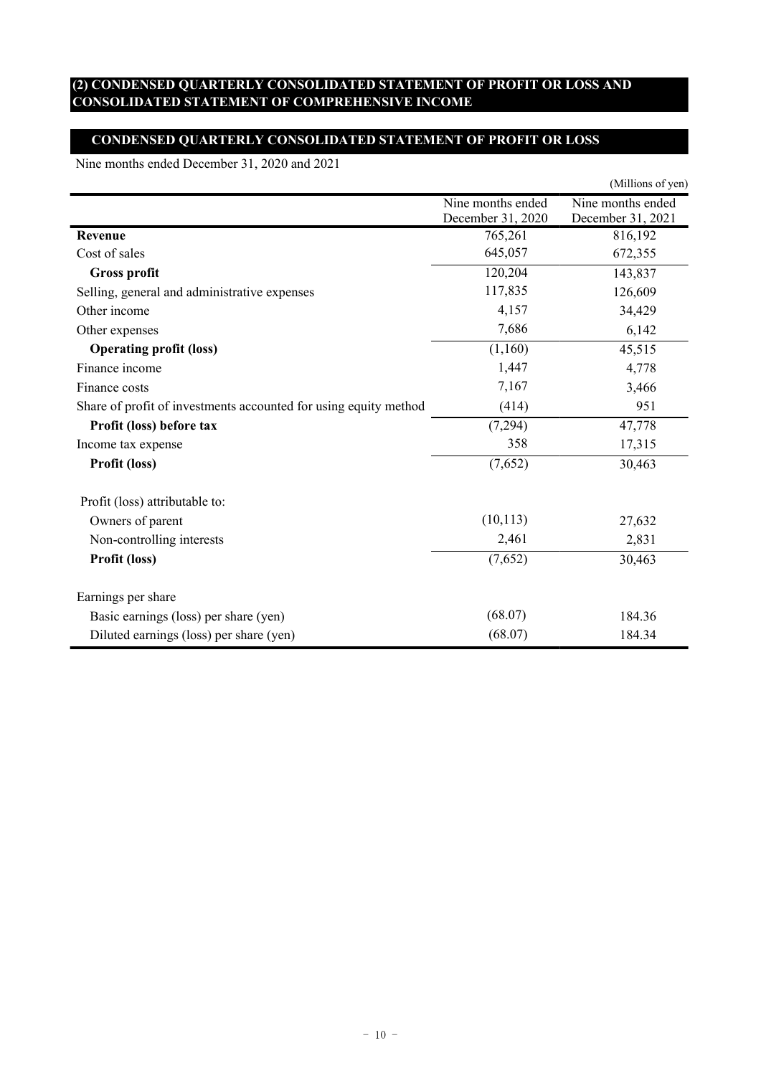### **(2) CONDENSED QUARTERLY CONSOLIDATED STATEMENT OF PROFIT OR LOSS AND CONSOLIDATED STATEMENT OF COMPREHENSIVE INCOME**

### **CONDENSED QUARTERLY CONSOLIDATED STATEMENT OF PROFIT OR LOSS**

Nine months ended December 31, 2020 and 2021

|                                                                  |                                        | (Millions of yen)                      |
|------------------------------------------------------------------|----------------------------------------|----------------------------------------|
|                                                                  | Nine months ended<br>December 31, 2020 | Nine months ended<br>December 31, 2021 |
| Revenue                                                          | 765,261                                | 816,192                                |
| Cost of sales                                                    | 645,057                                | 672,355                                |
| <b>Gross profit</b>                                              | 120,204                                | 143,837                                |
| Selling, general and administrative expenses                     | 117,835                                | 126,609                                |
| Other income                                                     | 4,157                                  | 34,429                                 |
| Other expenses                                                   | 7,686                                  | 6,142                                  |
| <b>Operating profit (loss)</b>                                   | (1,160)                                | 45,515                                 |
| Finance income                                                   | 1,447                                  | 4,778                                  |
| Finance costs                                                    | 7,167                                  | 3,466                                  |
| Share of profit of investments accounted for using equity method | (414)                                  | 951                                    |
| Profit (loss) before tax                                         | (7,294)                                | 47,778                                 |
| Income tax expense                                               | 358                                    | 17,315                                 |
| Profit (loss)                                                    | (7,652)                                | 30,463                                 |
| Profit (loss) attributable to:                                   |                                        |                                        |
| Owners of parent                                                 | (10, 113)                              | 27,632                                 |
| Non-controlling interests                                        | 2,461                                  | 2,831                                  |
| Profit (loss)                                                    | (7,652)                                | 30,463                                 |
| Earnings per share                                               |                                        |                                        |
| Basic earnings (loss) per share (yen)                            | (68.07)                                | 184.36                                 |
| Diluted earnings (loss) per share (yen)                          | (68.07)                                | 184.34                                 |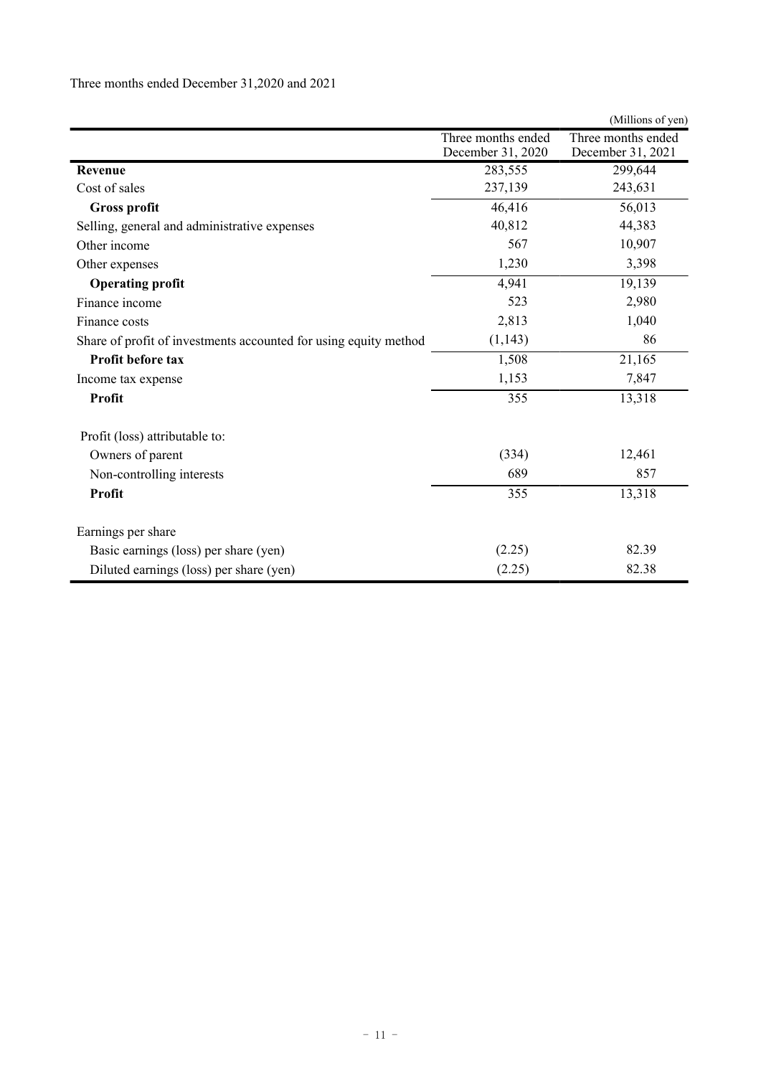|                                                                  |                    | (Millions of yen)  |
|------------------------------------------------------------------|--------------------|--------------------|
|                                                                  | Three months ended | Three months ended |
|                                                                  | December 31, 2020  | December 31, 2021  |
| Revenue                                                          | 283,555            | 299,644            |
| Cost of sales                                                    | 237,139            | 243,631            |
| <b>Gross profit</b>                                              | 46,416             | 56,013             |
| Selling, general and administrative expenses                     | 40,812             | 44,383             |
| Other income                                                     | 567                | 10,907             |
| Other expenses                                                   | 1,230              | 3,398              |
| <b>Operating profit</b>                                          | 4,941              | 19,139             |
| Finance income                                                   | 523                | 2,980              |
| Finance costs                                                    | 2,813              | 1,040              |
| Share of profit of investments accounted for using equity method | (1,143)            | 86                 |
| Profit before tax                                                | 1,508              | 21,165             |
| Income tax expense                                               | 1,153              | 7,847              |
| Profit                                                           | 355                | 13,318             |
| Profit (loss) attributable to:                                   |                    |                    |
| Owners of parent                                                 | (334)              | 12,461             |
| Non-controlling interests                                        | 689                | 857                |
| Profit                                                           | 355                | 13,318             |
| Earnings per share                                               |                    |                    |
| Basic earnings (loss) per share (yen)                            | (2.25)             | 82.39              |
| Diluted earnings (loss) per share (yen)                          | (2.25)             | 82.38              |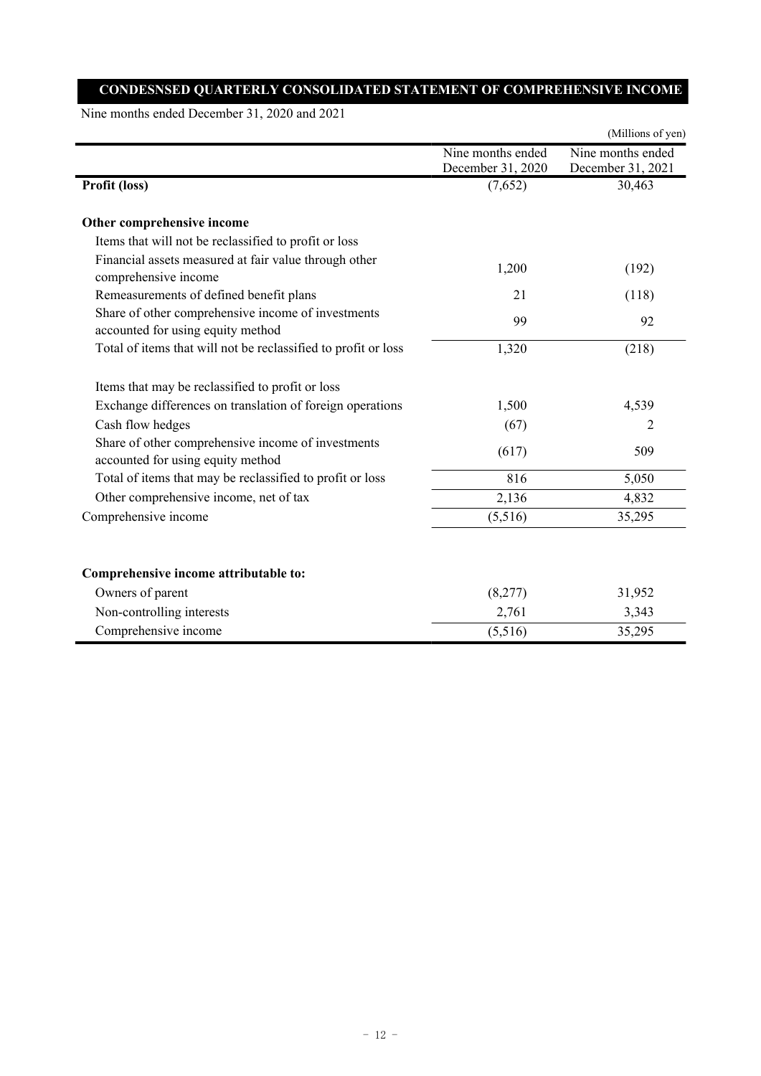## **CONDESNSED QUARTERLY CONSOLIDATED STATEMENT OF COMPREHENSIVE INCOME**

Nine months ended December 31, 2020 and 2021

|                                                                                         |                                        | (Millions of yen)                      |
|-----------------------------------------------------------------------------------------|----------------------------------------|----------------------------------------|
|                                                                                         | Nine months ended<br>December 31, 2020 | Nine months ended<br>December 31, 2021 |
| Profit (loss)                                                                           | (7,652)                                | 30,463                                 |
| Other comprehensive income                                                              |                                        |                                        |
| Items that will not be reclassified to profit or loss                                   |                                        |                                        |
| Financial assets measured at fair value through other<br>comprehensive income           | 1,200                                  | (192)                                  |
| Remeasurements of defined benefit plans                                                 | 21                                     | (118)                                  |
| Share of other comprehensive income of investments<br>accounted for using equity method | 99                                     | 92                                     |
| Total of items that will not be reclassified to profit or loss                          | 1,320                                  | (218)                                  |
| Items that may be reclassified to profit or loss                                        |                                        |                                        |
| Exchange differences on translation of foreign operations                               | 1,500                                  | 4,539                                  |
| Cash flow hedges                                                                        | (67)                                   | 2                                      |
| Share of other comprehensive income of investments<br>accounted for using equity method | (617)                                  | 509                                    |
| Total of items that may be reclassified to profit or loss                               | 816                                    | 5,050                                  |
| Other comprehensive income, net of tax                                                  | 2,136                                  | 4,832                                  |
| Comprehensive income                                                                    | (5,516)                                | 35,295                                 |
| Comprehensive income attributable to:                                                   |                                        |                                        |
| Owners of parent                                                                        | (8,277)                                | 31,952                                 |
| Non-controlling interests                                                               | 2,761                                  | 3,343                                  |
| Comprehensive income                                                                    | (5,516)                                | 35,295                                 |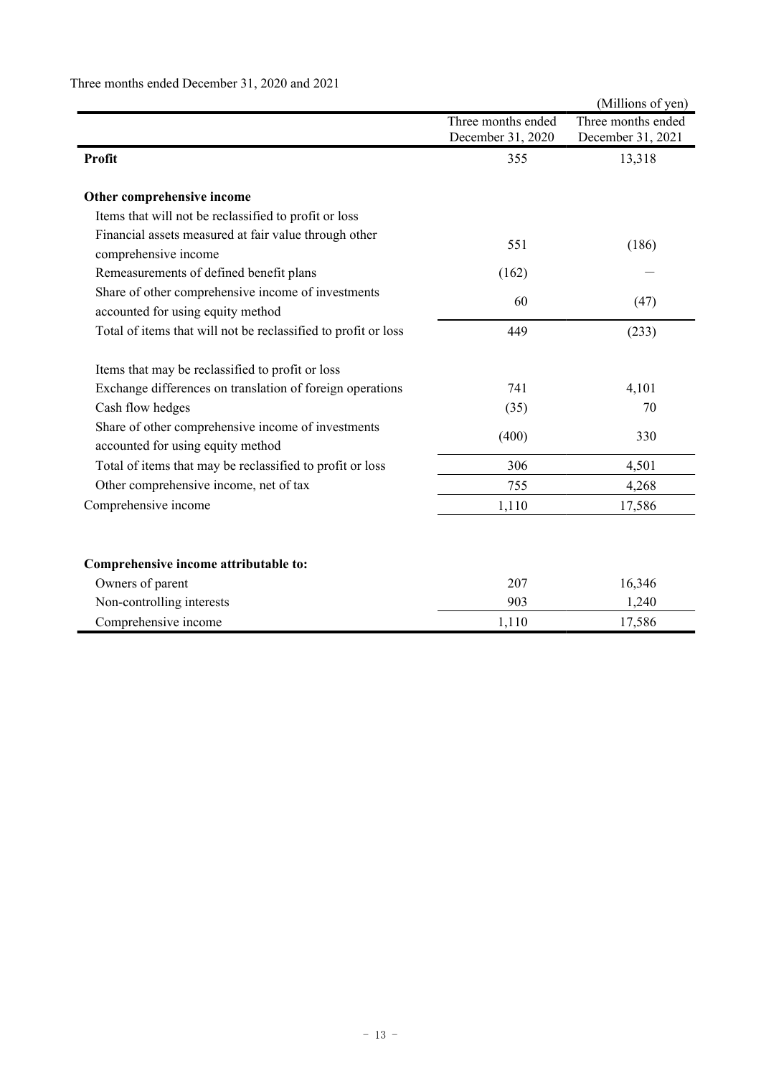|                                                                                         |                                         | (Millions of yen)                       |
|-----------------------------------------------------------------------------------------|-----------------------------------------|-----------------------------------------|
|                                                                                         | Three months ended<br>December 31, 2020 | Three months ended<br>December 31, 2021 |
| Profit                                                                                  | 355                                     | 13,318                                  |
| Other comprehensive income                                                              |                                         |                                         |
| Items that will not be reclassified to profit or loss                                   |                                         |                                         |
| Financial assets measured at fair value through other<br>comprehensive income           | 551                                     | (186)                                   |
| Remeasurements of defined benefit plans                                                 | (162)                                   |                                         |
| Share of other comprehensive income of investments<br>accounted for using equity method | 60                                      | (47)                                    |
| Total of items that will not be reclassified to profit or loss                          | 449                                     | (233)                                   |
| Items that may be reclassified to profit or loss                                        |                                         |                                         |
| Exchange differences on translation of foreign operations                               | 741                                     | 4,101                                   |
| Cash flow hedges                                                                        | (35)                                    | 70                                      |
| Share of other comprehensive income of investments<br>accounted for using equity method | (400)                                   | 330                                     |
| Total of items that may be reclassified to profit or loss                               | 306                                     | 4,501                                   |
| Other comprehensive income, net of tax                                                  | 755                                     | 4,268                                   |
| Comprehensive income                                                                    | 1,110                                   | 17,586                                  |
|                                                                                         |                                         |                                         |
| Comprehensive income attributable to:                                                   |                                         |                                         |
| Owners of parent                                                                        | 207                                     | 16,346                                  |
| Non-controlling interests                                                               | 903                                     | 1,240                                   |
| Comprehensive income                                                                    | 1,110                                   | 17,586                                  |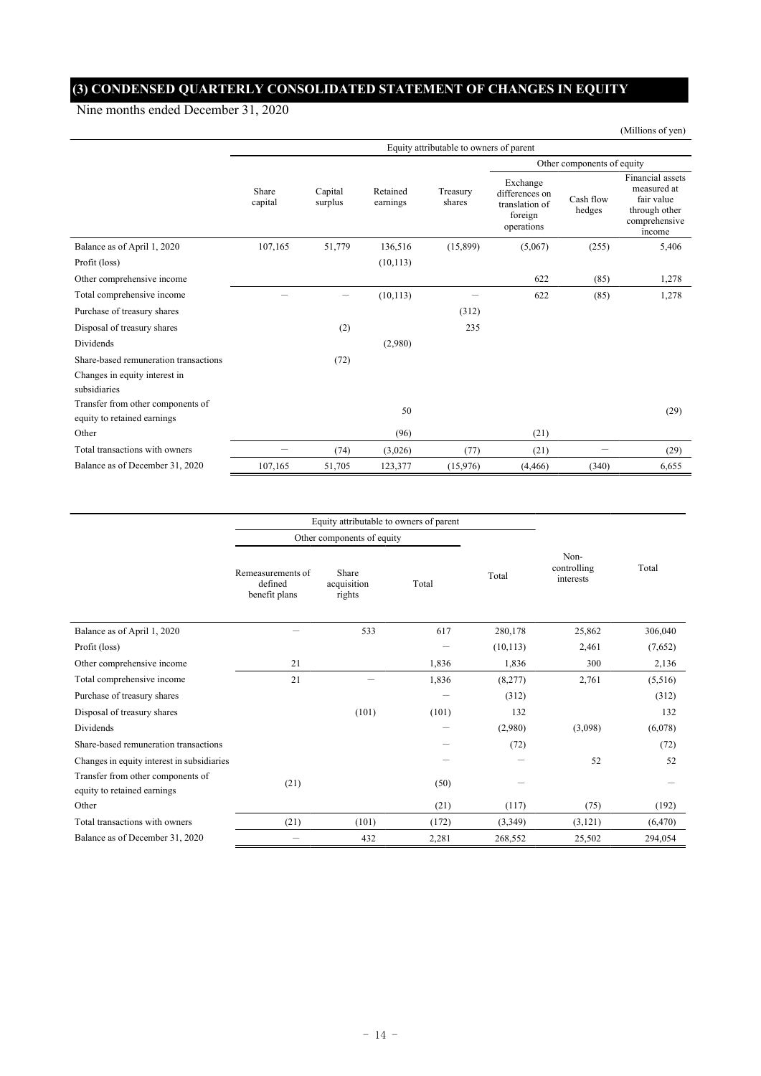# **(3) CONDENSED QUARTERLY CONSOLIDATED STATEMENT OF CHANGES IN EQUITY**

Nine months ended December 31, 2020

|                                                                  | Equity attributable to owners of parent |                    |                      |                    |                                                                       |                            |                                                                                           |
|------------------------------------------------------------------|-----------------------------------------|--------------------|----------------------|--------------------|-----------------------------------------------------------------------|----------------------------|-------------------------------------------------------------------------------------------|
|                                                                  |                                         |                    |                      |                    |                                                                       | Other components of equity |                                                                                           |
|                                                                  | Share<br>capital                        | Capital<br>surplus | Retained<br>earnings | Treasury<br>shares | Exchange<br>differences on<br>translation of<br>foreign<br>operations | Cash flow<br>hedges        | Financial assets<br>measured at<br>fair value<br>through other<br>comprehensive<br>income |
| Balance as of April 1, 2020                                      | 107,165                                 | 51,779             | 136,516              | (15,899)           | (5,067)                                                               | (255)                      | 5,406                                                                                     |
| Profit (loss)                                                    |                                         |                    | (10, 113)            |                    |                                                                       |                            |                                                                                           |
| Other comprehensive income                                       |                                         |                    |                      |                    | 622                                                                   | (85)                       | 1,278                                                                                     |
| Total comprehensive income                                       |                                         |                    | (10, 113)            |                    | 622                                                                   | (85)                       | 1,278                                                                                     |
| Purchase of treasury shares                                      |                                         |                    |                      | (312)              |                                                                       |                            |                                                                                           |
| Disposal of treasury shares                                      |                                         | (2)                |                      | 235                |                                                                       |                            |                                                                                           |
| Dividends                                                        |                                         |                    | (2,980)              |                    |                                                                       |                            |                                                                                           |
| Share-based remuneration transactions                            |                                         | (72)               |                      |                    |                                                                       |                            |                                                                                           |
| Changes in equity interest in<br>subsidiaries                    |                                         |                    |                      |                    |                                                                       |                            |                                                                                           |
| Transfer from other components of<br>equity to retained earnings |                                         |                    | 50                   |                    |                                                                       |                            | (29)                                                                                      |
| Other                                                            |                                         |                    | (96)                 |                    | (21)                                                                  |                            |                                                                                           |
| Total transactions with owners                                   |                                         | (74)               | (3,026)              | (77)               | (21)                                                                  | -                          | (29)                                                                                      |
| Balance as of December 31, 2020                                  | 107,165                                 | 51,705             | 123,377              | (15,976)           | (4, 466)                                                              | (340)                      | 6,655                                                                                     |

|                                                                  |                                                                                          | Equity attributable to owners of parent |       |           |                                  |          |  |
|------------------------------------------------------------------|------------------------------------------------------------------------------------------|-----------------------------------------|-------|-----------|----------------------------------|----------|--|
|                                                                  |                                                                                          | Other components of equity              |       |           |                                  |          |  |
|                                                                  | Share<br>Remeasurements of<br>defined<br>acquisition<br>Total<br>benefit plans<br>rights |                                         |       | Total     | Non-<br>controlling<br>interests | Total    |  |
| Balance as of April 1, 2020                                      |                                                                                          | 533                                     | 617   | 280,178   | 25,862                           | 306,040  |  |
| Profit (loss)                                                    |                                                                                          |                                         |       | (10, 113) | 2,461                            | (7,652)  |  |
| Other comprehensive income                                       | 21                                                                                       |                                         | 1,836 | 1,836     | 300                              | 2,136    |  |
| Total comprehensive income                                       | 21                                                                                       |                                         | 1,836 | (8,277)   | 2,761                            | (5,516)  |  |
| Purchase of treasury shares                                      |                                                                                          |                                         |       | (312)     |                                  | (312)    |  |
| Disposal of treasury shares                                      |                                                                                          | (101)                                   | (101) | 132       |                                  | 132      |  |
| Dividends                                                        |                                                                                          |                                         | -     | (2,980)   | (3,098)                          | (6,078)  |  |
| Share-based remuneration transactions                            |                                                                                          |                                         |       | (72)      |                                  | (72)     |  |
| Changes in equity interest in subsidiaries                       |                                                                                          |                                         |       |           | 52                               | 52       |  |
| Transfer from other components of<br>equity to retained earnings | (21)                                                                                     |                                         | (50)  |           |                                  |          |  |
| Other                                                            |                                                                                          |                                         | (21)  | (117)     | (75)                             | (192)    |  |
| Total transactions with owners                                   | (21)                                                                                     | (101)                                   | (172) | (3,349)   | (3,121)                          | (6, 470) |  |
| Balance as of December 31, 2020                                  |                                                                                          | 432                                     | 2,281 | 268,552   | 25,502                           | 294,054  |  |

(Millions of yen)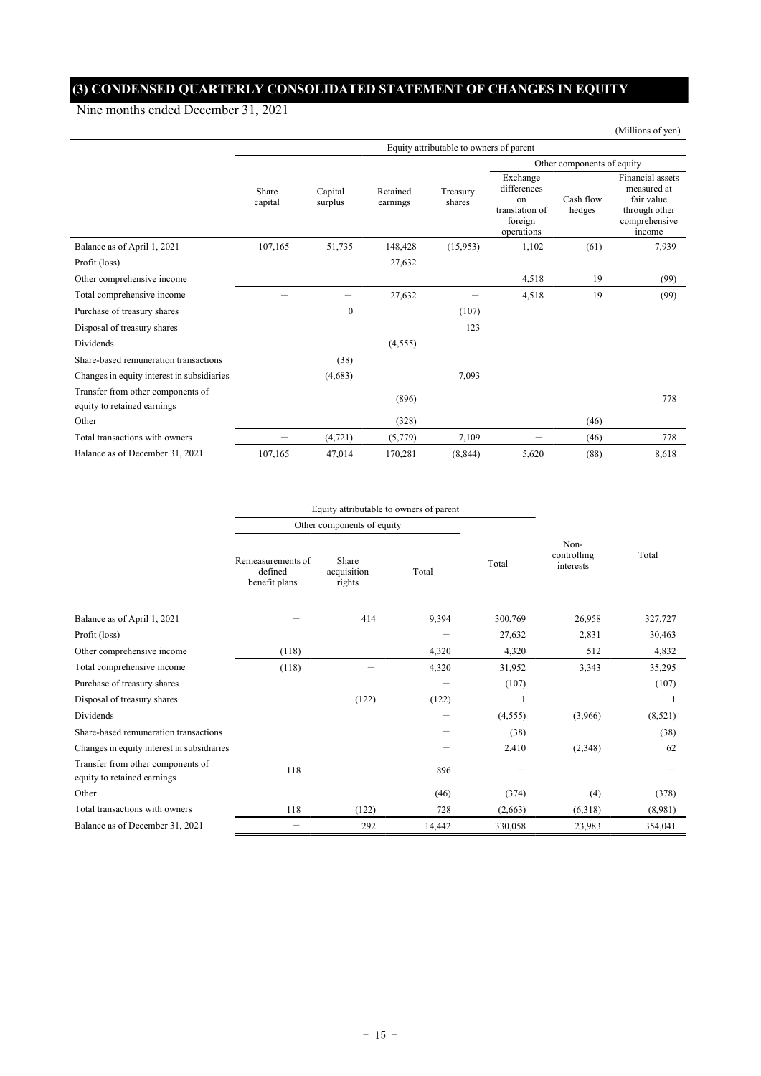# **(3) CONDENSED QUARTERLY CONSOLIDATED STATEMENT OF CHANGES IN EQUITY**

Nine months ended December 31, 2021

|                                                                  | Equity attributable to owners of parent |                    |                      |                    |                                                                          |                     |                                                                                           |  |  |
|------------------------------------------------------------------|-----------------------------------------|--------------------|----------------------|--------------------|--------------------------------------------------------------------------|---------------------|-------------------------------------------------------------------------------------------|--|--|
|                                                                  |                                         |                    |                      |                    | Other components of equity                                               |                     |                                                                                           |  |  |
|                                                                  | Share<br>capital                        | Capital<br>surplus | Retained<br>earnings | Treasury<br>shares | Exchange<br>differences<br>on<br>translation of<br>foreign<br>operations | Cash flow<br>hedges | Financial assets<br>measured at<br>fair value<br>through other<br>comprehensive<br>income |  |  |
| Balance as of April 1, 2021                                      | 107,165                                 | 51,735             | 148,428              | (15,953)           | 1,102                                                                    | (61)                | 7,939                                                                                     |  |  |
| Profit (loss)                                                    |                                         |                    | 27,632               |                    |                                                                          |                     |                                                                                           |  |  |
| Other comprehensive income                                       |                                         |                    |                      |                    | 4,518                                                                    | 19                  | (99)                                                                                      |  |  |
| Total comprehensive income                                       |                                         |                    | 27,632               |                    | 4,518                                                                    | 19                  | (99)                                                                                      |  |  |
| Purchase of treasury shares                                      |                                         | $\mathbf{0}$       |                      | (107)              |                                                                          |                     |                                                                                           |  |  |
| Disposal of treasury shares                                      |                                         |                    |                      | 123                |                                                                          |                     |                                                                                           |  |  |
| Dividends                                                        |                                         |                    | (4,555)              |                    |                                                                          |                     |                                                                                           |  |  |
| Share-based remuneration transactions                            |                                         | (38)               |                      |                    |                                                                          |                     |                                                                                           |  |  |
| Changes in equity interest in subsidiaries                       |                                         | (4,683)            |                      | 7,093              |                                                                          |                     |                                                                                           |  |  |
| Transfer from other components of<br>equity to retained earnings |                                         |                    | (896)                |                    |                                                                          |                     | 778                                                                                       |  |  |
| Other                                                            |                                         |                    | (328)                |                    |                                                                          | (46)                |                                                                                           |  |  |
| Total transactions with owners                                   |                                         | (4, 721)           | (5,779)              | 7,109              |                                                                          | (46)                | 778                                                                                       |  |  |
| Balance as of December 31, 2021                                  | 107,165                                 | 47,014             | 170,281              | (8, 844)           | 5,620                                                                    | (88)                | 8,618                                                                                     |  |  |

|                                                                  | Equity attributable to owners of parent       |                                |        |          |                                  |         |
|------------------------------------------------------------------|-----------------------------------------------|--------------------------------|--------|----------|----------------------------------|---------|
|                                                                  |                                               | Other components of equity     |        |          |                                  |         |
|                                                                  | Remeasurements of<br>defined<br>benefit plans | Share<br>acquisition<br>rights | Total  | Total    | Non-<br>controlling<br>interests | Total   |
| Balance as of April 1, 2021                                      |                                               | 414                            | 9,394  | 300,769  | 26,958                           | 327,727 |
| Profit (loss)                                                    |                                               |                                |        | 27,632   | 2,831                            | 30,463  |
| Other comprehensive income                                       | (118)                                         |                                | 4,320  | 4,320    | 512                              | 4,832   |
| Total comprehensive income                                       | (118)                                         |                                | 4,320  | 31,952   | 3,343                            | 35,295  |
| Purchase of treasury shares                                      |                                               |                                | -      | (107)    |                                  | (107)   |
| Disposal of treasury shares                                      |                                               | (122)                          | (122)  |          |                                  |         |
| Dividends                                                        |                                               |                                |        | (4, 555) | (3,966)                          | (8,521) |
| Share-based remuneration transactions                            |                                               |                                |        | (38)     |                                  | (38)    |
| Changes in equity interest in subsidiaries                       |                                               |                                |        | 2,410    | (2,348)                          | 62      |
| Transfer from other components of<br>equity to retained earnings | 118                                           |                                | 896    |          |                                  |         |
| Other                                                            |                                               |                                | (46)   | (374)    | (4)                              | (378)   |
| Total transactions with owners                                   | 118                                           | (122)                          | 728    | (2,663)  | (6,318)                          | (8,981) |
| Balance as of December 31, 2021                                  | $\overline{\phantom{0}}$                      | 292                            | 14,442 | 330,058  | 23,983                           | 354,041 |

(Millions of yen)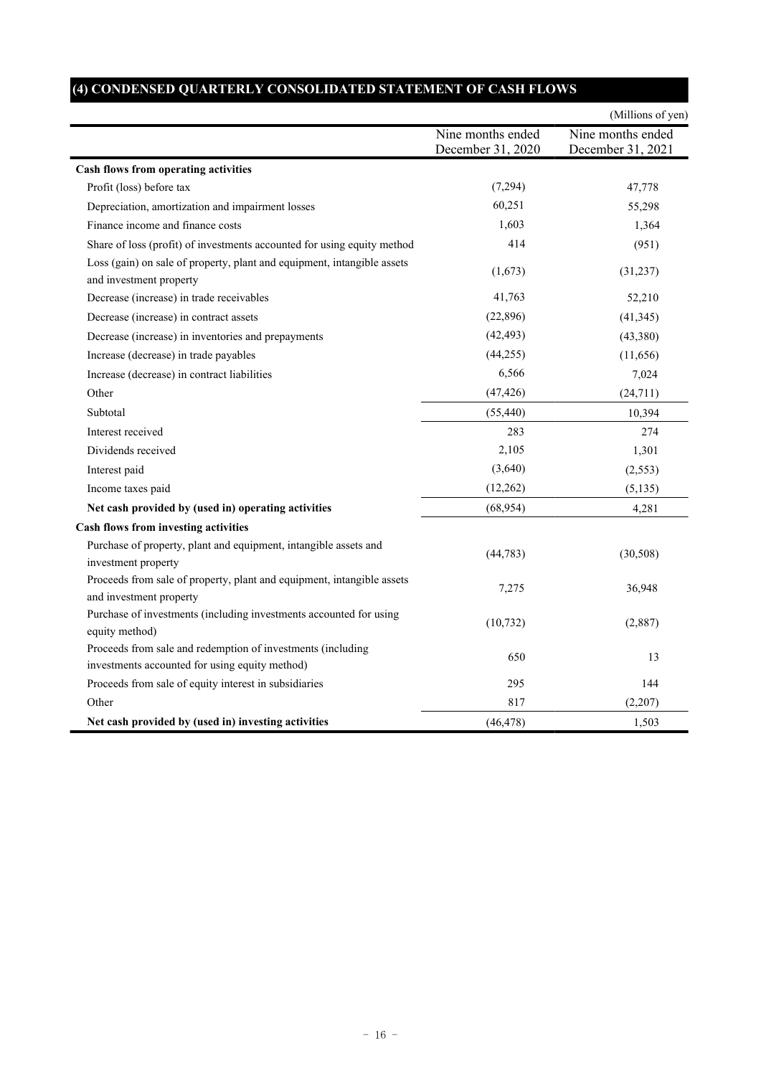# **(4) CONDENSED QUARTERLY CONSOLIDATED STATEMENT OF CASH FLOWS**

|                                                                                                               |                                        | (Millions of yen)                      |
|---------------------------------------------------------------------------------------------------------------|----------------------------------------|----------------------------------------|
|                                                                                                               | Nine months ended<br>December 31, 2020 | Nine months ended<br>December 31, 2021 |
| Cash flows from operating activities                                                                          |                                        |                                        |
| Profit (loss) before tax                                                                                      | (7,294)                                | 47,778                                 |
| Depreciation, amortization and impairment losses                                                              | 60,251                                 | 55,298                                 |
| Finance income and finance costs                                                                              | 1,603                                  | 1,364                                  |
| Share of loss (profit) of investments accounted for using equity method                                       | 414                                    | (951)                                  |
| Loss (gain) on sale of property, plant and equipment, intangible assets<br>and investment property            | (1,673)                                | (31,237)                               |
| Decrease (increase) in trade receivables                                                                      | 41,763                                 | 52,210                                 |
| Decrease (increase) in contract assets                                                                        | (22,896)                               | (41, 345)                              |
| Decrease (increase) in inventories and prepayments                                                            | (42, 493)                              | (43,380)                               |
| Increase (decrease) in trade payables                                                                         | (44, 255)                              | (11,656)                               |
| Increase (decrease) in contract liabilities                                                                   | 6,566                                  | 7,024                                  |
| Other                                                                                                         | (47, 426)                              | (24, 711)                              |
| Subtotal                                                                                                      | (55, 440)                              | 10,394                                 |
| Interest received                                                                                             | 283                                    | 274                                    |
| Dividends received                                                                                            | 2,105                                  | 1,301                                  |
| Interest paid                                                                                                 | (3,640)                                | (2, 553)                               |
| Income taxes paid                                                                                             | (12, 262)                              | (5, 135)                               |
| Net cash provided by (used in) operating activities                                                           | (68,954)                               | 4,281                                  |
| Cash flows from investing activities                                                                          |                                        |                                        |
| Purchase of property, plant and equipment, intangible assets and<br>investment property                       | (44, 783)                              | (30, 508)                              |
| Proceeds from sale of property, plant and equipment, intangible assets<br>and investment property             | 7,275                                  | 36,948                                 |
| Purchase of investments (including investments accounted for using<br>equity method)                          | (10, 732)                              | (2,887)                                |
| Proceeds from sale and redemption of investments (including<br>investments accounted for using equity method) | 650                                    | 13                                     |
| Proceeds from sale of equity interest in subsidiaries                                                         | 295                                    | 144                                    |
| Other                                                                                                         | 817                                    | (2,207)                                |
| Net cash provided by (used in) investing activities                                                           | (46, 478)                              | 1,503                                  |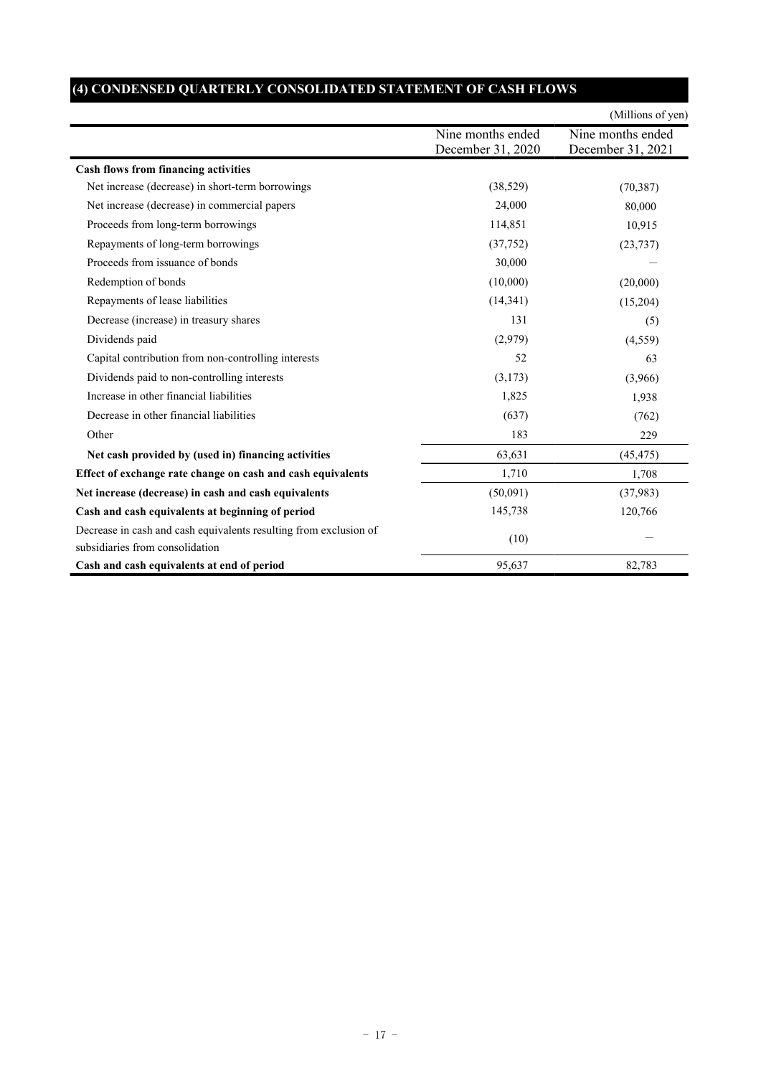|                                                                                                      |                                        | (Millions of yen)                      |
|------------------------------------------------------------------------------------------------------|----------------------------------------|----------------------------------------|
|                                                                                                      | Nine months ended<br>December 31, 2020 | Nine months ended<br>December 31, 2021 |
| <b>Cash flows from financing activities</b>                                                          |                                        |                                        |
| Net increase (decrease) in short-term borrowings                                                     | (38, 529)                              | (70, 387)                              |
| Net increase (decrease) in commercial papers                                                         | 24,000                                 | 80,000                                 |
| Proceeds from long-term borrowings                                                                   | 114,851                                | 10,915                                 |
| Repayments of long-term borrowings                                                                   | (37,752)                               | (23, 737)                              |
| Proceeds from issuance of bonds                                                                      | 30,000                                 |                                        |
| Redemption of bonds                                                                                  | (10,000)                               | (20,000)                               |
| Repayments of lease liabilities                                                                      | (14, 341)                              | (15,204)                               |
| Decrease (increase) in treasury shares                                                               | 131                                    | (5)                                    |
| Dividends paid                                                                                       | (2,979)                                | (4, 559)                               |
| Capital contribution from non-controlling interests                                                  | 52                                     | 63                                     |
| Dividends paid to non-controlling interests                                                          | (3,173)                                | (3,966)                                |
| Increase in other financial liabilities                                                              | 1,825                                  | 1,938                                  |
| Decrease in other financial liabilities                                                              | (637)                                  | (762)                                  |
| Other                                                                                                | 183                                    | 229                                    |
| Net cash provided by (used in) financing activities                                                  | 63,631                                 | (45, 475)                              |
| Effect of exchange rate change on cash and cash equivalents                                          | 1,710                                  | 1,708                                  |
| Net increase (decrease) in cash and cash equivalents                                                 | (50,091)                               | (37,983)                               |
| Cash and cash equivalents at beginning of period                                                     | 145,738                                | 120,766                                |
| Decrease in cash and cash equivalents resulting from exclusion of<br>subsidiaries from consolidation | (10)                                   |                                        |
| Cash and cash equivalents at end of period                                                           | 95,637                                 | 82,783                                 |

# **(4) CONDENSED QUARTERLY CONSOLIDATED STATEMENT OF CASH FLOWS**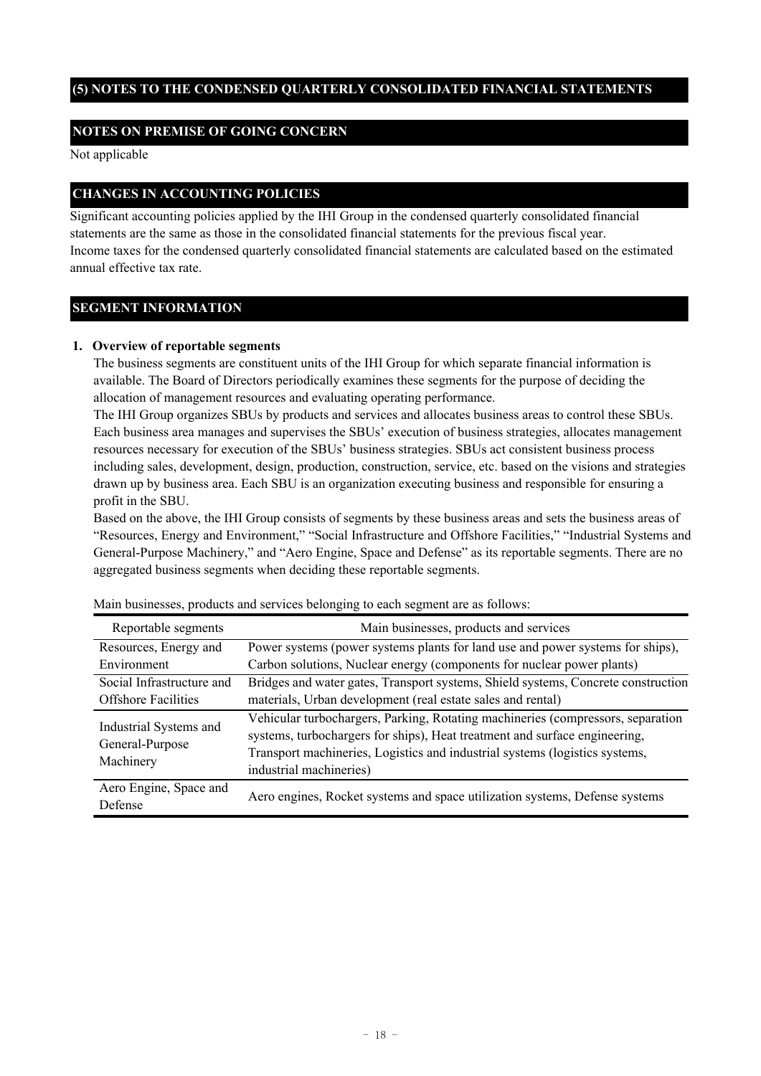### **(5) NOTES TO THE CONDENSED QUARTERLY CONSOLIDATED FINANCIAL STATEMENTS**

### **NOTES ON PREMISE OF GOING CONCERN**

Not applicable

### **CHANGES IN ACCOUNTING POLICIES**

Significant accounting policies applied by the IHI Group in the condensed quarterly consolidated financial statements are the same as those in the consolidated financial statements for the previous fiscal year. Income taxes for the condensed quarterly consolidated financial statements are calculated based on the estimated annual effective tax rate.

#### **SEGMENT INFORMATION**

#### **1. Overview of reportable segments**

The business segments are constituent units of the IHI Group for which separate financial information is available. The Board of Directors periodically examines these segments for the purpose of deciding the allocation of management resources and evaluating operating performance.

The IHI Group organizes SBUs by products and services and allocates business areas to control these SBUs. Each business area manages and supervises the SBUs' execution of business strategies, allocates management resources necessary for execution of the SBUs' business strategies. SBUs act consistent business process including sales, development, design, production, construction, service, etc. based on the visions and strategies drawn up by business area. Each SBU is an organization executing business and responsible for ensuring a profit in the SBU.

Based on the above, the IHI Group consists of segments by these business areas and sets the business areas of "Resources, Energy and Environment," "Social Infrastructure and Offshore Facilities," "Industrial Systems and General-Purpose Machinery," and "Aero Engine, Space and Defense" as its reportable segments. There are no aggregated business segments when deciding these reportable segments.

| Reportable segments                                    | Main businesses, products and services                                                                                                                                                                                                                                  |
|--------------------------------------------------------|-------------------------------------------------------------------------------------------------------------------------------------------------------------------------------------------------------------------------------------------------------------------------|
| Resources, Energy and                                  | Power systems (power systems plants for land use and power systems for ships),                                                                                                                                                                                          |
| Environment                                            | Carbon solutions, Nuclear energy (components for nuclear power plants)                                                                                                                                                                                                  |
| Social Infrastructure and                              | Bridges and water gates, Transport systems, Shield systems, Concrete construction                                                                                                                                                                                       |
| <b>Offshore Facilities</b>                             | materials, Urban development (real estate sales and rental)                                                                                                                                                                                                             |
| Industrial Systems and<br>General-Purpose<br>Machinery | Vehicular turbochargers, Parking, Rotating machineries (compressors, separation<br>systems, turbochargers for ships), Heat treatment and surface engineering,<br>Transport machineries, Logistics and industrial systems (logistics systems,<br>industrial machineries) |
| Aero Engine, Space and<br>Defense                      | Aero engines, Rocket systems and space utilization systems, Defense systems                                                                                                                                                                                             |

Main businesses, products and services belonging to each segment are as follows: